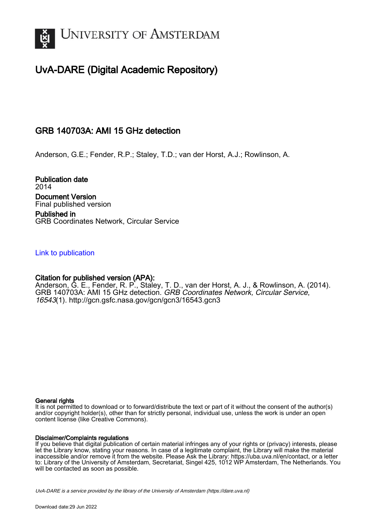

# UvA-DARE (Digital Academic Repository)

## GRB 140703A: AMI 15 GHz detection

Anderson, G.E.; Fender, R.P.; Staley, T.D.; van der Horst, A.J.; Rowlinson, A.

Publication date 2014 Document Version Final published version Published in

GRB Coordinates Network, Circular Service

### [Link to publication](https://dare.uva.nl/personal/pure/en/publications/grb-140703a-ami-15-ghz-detection(d901d59e-e42c-4322-9c03-7d24b0281e5c).html)

### Citation for published version (APA):

Anderson, G. E., Fender, R. P., Staley, T. D., van der Horst, A. J., & Rowlinson, A. (2014). GRB 140703A: AMI 15 GHz detection. GRB Coordinates Network, Circular Service, 16543(1). <http://gcn.gsfc.nasa.gov/gcn/gcn3/16543.gcn3>

#### General rights

It is not permitted to download or to forward/distribute the text or part of it without the consent of the author(s) and/or copyright holder(s), other than for strictly personal, individual use, unless the work is under an open content license (like Creative Commons).

#### Disclaimer/Complaints regulations

If you believe that digital publication of certain material infringes any of your rights or (privacy) interests, please let the Library know, stating your reasons. In case of a legitimate complaint, the Library will make the material inaccessible and/or remove it from the website. Please Ask the Library: https://uba.uva.nl/en/contact, or a letter to: Library of the University of Amsterdam, Secretariat, Singel 425, 1012 WP Amsterdam, The Netherlands. You will be contacted as soon as possible.

UvA-DARE is a service provided by the library of the University of Amsterdam (http*s*://dare.uva.nl)